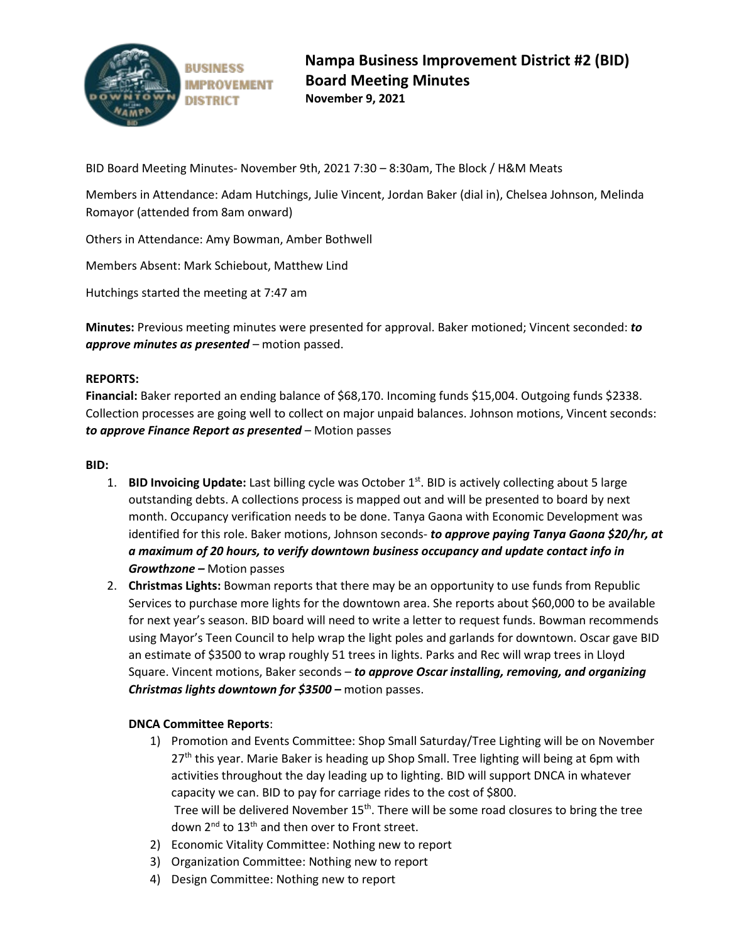

BID Board Meeting Minutes- November 9th, 2021 7:30 – 8:30am, The Block / H&M Meats

Members in Attendance: Adam Hutchings, Julie Vincent, Jordan Baker (dial in), Chelsea Johnson, Melinda Romayor (attended from 8am onward)

Others in Attendance: Amy Bowman, Amber Bothwell

Members Absent: Mark Schiebout, Matthew Lind

Hutchings started the meeting at 7:47 am

**Minutes:** Previous meeting minutes were presented for approval. Baker motioned; Vincent seconded: *to approve minutes as presented* – motion passed.

### **REPORTS:**

**Financial:** Baker reported an ending balance of \$68,170. Incoming funds \$15,004. Outgoing funds \$2338. Collection processes are going well to collect on major unpaid balances. Johnson motions, Vincent seconds: *to approve Finance Report as presented* – Motion passes

#### **BID:**

- 1. **BID Invoicing Update:** Last billing cycle was October 1<sup>st</sup>. BID is actively collecting about 5 large outstanding debts. A collections process is mapped out and will be presented to board by next month. Occupancy verification needs to be done. Tanya Gaona with Economic Development was identified for this role. Baker motions, Johnson seconds- *to approve paying Tanya Gaona \$20/hr, at a maximum of 20 hours, to verify downtown business occupancy and update contact info in Growthzone –* Motion passes
- 2. **Christmas Lights:** Bowman reports that there may be an opportunity to use funds from Republic Services to purchase more lights for the downtown area. She reports about \$60,000 to be available for next year's season. BID board will need to write a letter to request funds. Bowman recommends using Mayor's Teen Council to help wrap the light poles and garlands for downtown. Oscar gave BID an estimate of \$3500 to wrap roughly 51 trees in lights. Parks and Rec will wrap trees in Lloyd Square. Vincent motions, Baker seconds – *to approve Oscar installing, removing, and organizing Christmas lights downtown for \$3500 –* motion passes.

### **DNCA Committee Reports**:

- 1) Promotion and Events Committee: Shop Small Saturday/Tree Lighting will be on November 27<sup>th</sup> this year. Marie Baker is heading up Shop Small. Tree lighting will being at 6pm with activities throughout the day leading up to lighting. BID will support DNCA in whatever capacity we can. BID to pay for carriage rides to the cost of \$800. Tree will be delivered November  $15<sup>th</sup>$ . There will be some road closures to bring the tree down 2<sup>nd</sup> to 13<sup>th</sup> and then over to Front street.
- 2) Economic Vitality Committee: Nothing new to report
- 3) Organization Committee: Nothing new to report
- 4) Design Committee: Nothing new to report